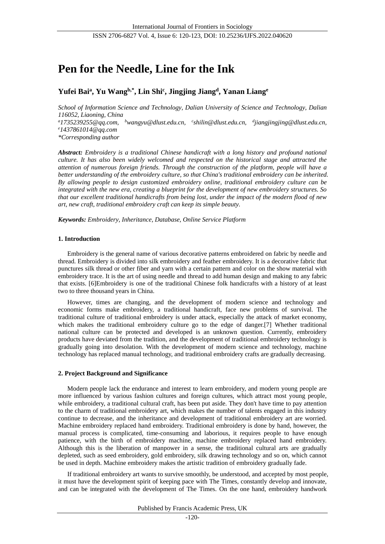# **Pen for the Needle, Line for the Ink**

## **Yufei Bai<sup>a</sup> , Yu Wangb,\*, Lin Shi<sup>c</sup> , Jingjing Jiang<sup>d</sup> , Yanan Liang<sup>e</sup>**

*School of Information Science and Technology, Dalian University of Science and Technology, Dalian 116052, Liaoning, China <sup>a</sup>1735239255@qq.com, <sup>b</sup>wangyu@dlust.edu.cn, <sup>c</sup> [shilin@dlust.edu.cn,](mailto:shilin@dlust.edu.cn) d [jiangjingjing@dlust.edu.cn,](mailto:jiangjingjing@dlust.edu.cn) <sup>e</sup>1437861014@qq.com \*Corresponding author*

*Abstract: Embroidery is a traditional Chinese handicraft with a long history and profound national culture. It has also been widely welcomed and respected on the historical stage and attracted the attention of numerous foreign friends. Through the construction of the platform, people will have a better understanding of the embroidery culture, so that China's traditional embroidery can be inherited. By allowing people to design customized embroidery online, traditional embroidery culture can be integrated with the new era, creating a blueprint for the development of new embroidery structures. So that our excellent traditional handicrafts from being lost, under the impact of the modern flood of new art, new craft, traditional embroidery craft can keep its simple beauty.*

*Keywords: Embroidery, Inheritance, Database, Online Service Platform*

## **1. Introduction**

Embroidery is the general name of various decorative patterns embroidered on fabric by needle and thread. Embroidery is divided into silk embroidery and feather embroidery. It is a decorative fabric that punctures silk thread or other fiber and yarn with a certain pattern and color on the show material with embroidery trace. It is the art of using needle and thread to add human design and making to any fabric that exists. [6]Embroidery is one of the traditional Chinese folk handicrafts with a history of at least two to three thousand years in China.

However, times are changing, and the development of modern science and technology and economic forms make embroidery, a traditional handicraft, face new problems of survival. The traditional culture of traditional embroidery is under attack, especially the attack of market economy, which makes the traditional embroidery culture go to the edge of danger.[7] Whether traditional national culture can be protected and developed is an unknown question. Currently, embroidery products have deviated from the tradition, and the development of traditional embroidery technology is gradually going into desolation. With the development of modern science and technology, machine technology has replaced manual technology, and traditional embroidery crafts are gradually decreasing.

## **2. Project Background and Significance**

Modern people lack the endurance and interest to learn embroidery, and modern young people are more influenced by various fashion cultures and foreign cultures, which attract most young people, while embroidery, a traditional cultural craft, has been put aside. They don't have time to pay attention to the charm of traditional embroidery art, which makes the number of talents engaged in this industry continue to decrease, and the inheritance and development of traditional embroidery art are worried. Machine embroidery replaced hand embroidery. Traditional embroidery is done by hand, however, the manual process is complicated, time-consuming and laborious, it requires people to have enough patience, with the birth of embroidery machine, machine embroidery replaced hand embroidery. Although this is the liberation of manpower in a sense, the traditional cultural arts are gradually depleted, such as seed embroidery, gold embroidery, silk drawing technology and so on, which cannot be used in depth. Machine embroidery makes the artistic tradition of embroidery gradually fade.

If traditional embroidery art wants to survive smoothly, be understood, and accepted by most people, it must have the development spirit of keeping pace with The Times, constantly develop and innovate, and can be integrated with the development of The Times. On the one hand, embroidery handwork

Published by Francis Academic Press, UK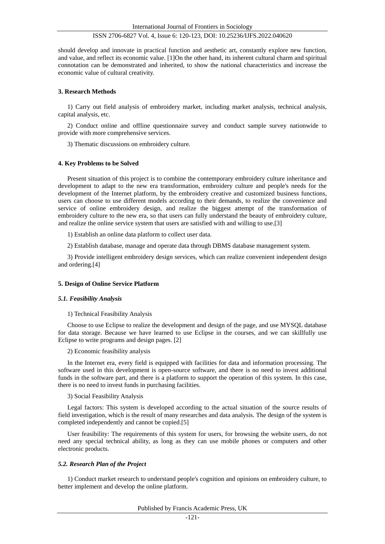## ISSN 2706-6827 Vol. 4, Issue 6: 120-123, DOI: 10.25236/IJFS.2022.040620

should develop and innovate in practical function and aesthetic art, constantly explore new function, and value, and reflect its economic value. [1]On the other hand, its inherent cultural charm and spiritual connotation can be demonstrated and inherited, to show the national characteristics and increase the economic value of cultural creativity.

## **3. Research Methods**

1) Carry out field analysis of embroidery market, including market analysis, technical analysis, capital analysis, etc.

2) Conduct online and offline questionnaire survey and conduct sample survey nationwide to provide with more comprehensive services.

3) Thematic discussions on embroidery culture.

## **4. Key Problems to be Solved**

Present situation of this project is to combine the contemporary embroidery culture inheritance and development to adapt to the new era transformation, embroidery culture and people's needs for the development of the Internet platform, by the embroidery creative and customized business functions, users can choose to use different models according to their demands, to realize the convenience and service of online embroidery design, and realize the biggest attempt of the transformation of embroidery culture to the new era, so that users can fully understand the beauty of embroidery culture, and realize the online service system that users are satisfied with and willing to use.[3]

1) Establish an online data platform to collect user data.

2) Establish database, manage and operate data through DBMS database management system.

3) Provide intelligent embroidery design services, which can realize convenient independent design and ordering.[4]

## **5. Design of Online Service Platform**

#### *5.1. Feasibility Analysis*

1) Technical Feasibility Analysis

Choose to use Eclipse to realize the development and design of the page, and use MYSQL database for data storage. Because we have learned to use Eclipse in the courses, and we can skillfully use Eclipse to write programs and design pages. [2]

2) Economic feasibility analysis

In the Internet era, every field is equipped with facilities for data and information processing. The software used in this development is open-source software, and there is no need to invest additional funds in the software part, and there is a platform to support the operation of this system. In this case, there is no need to invest funds in purchasing facilities.

#### 3) Social Feasibility Analysis

Legal factors: This system is developed according to the actual situation of the source results of field investigation, which is the result of many researches and data analysis. The design of the system is completed independently and cannot be copied.[5]

User feasibility: The requirements of this system for users, for browsing the website users, do not need any special technical ability, as long as they can use mobile phones or computers and other electronic products.

## *5.2. Research Plan of the Project*

1) Conduct market research to understand people's cognition and opinions on embroidery culture, to better implement and develop the online platform.

Published by Francis Academic Press, UK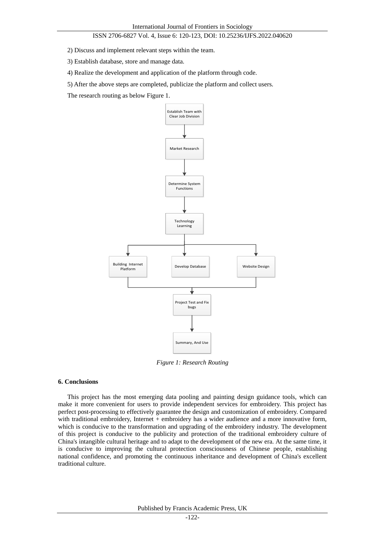## ISSN 2706-6827 Vol. 4, Issue 6: 120-123, DOI: 10.25236/IJFS.2022.040620

2) Discuss and implement relevant steps within the team.

3) Establish database, store and manage data.

4) Realize the development and application of the platform through code.

5) After the above steps are completed, publicize the platform and collect users.

The research routing as below Figure 1.



*Figure 1: Research Routing*

### **6. Conclusions**

This project has the most emerging data pooling and painting design guidance tools, which can make it more convenient for users to provide independent services for embroidery. This project has perfect post-processing to effectively guarantee the design and customization of embroidery. Compared with traditional embroidery, Internet + embroidery has a wider audience and a more innovative form, which is conducive to the transformation and upgrading of the embroidery industry. The development of this project is conducive to the publicity and protection of the traditional embroidery culture of China's intangible cultural heritage and to adapt to the development of the new era. At the same time, it is conducive to improving the cultural protection consciousness of Chinese people, establishing national confidence, and promoting the continuous inheritance and development of China's excellent traditional culture.